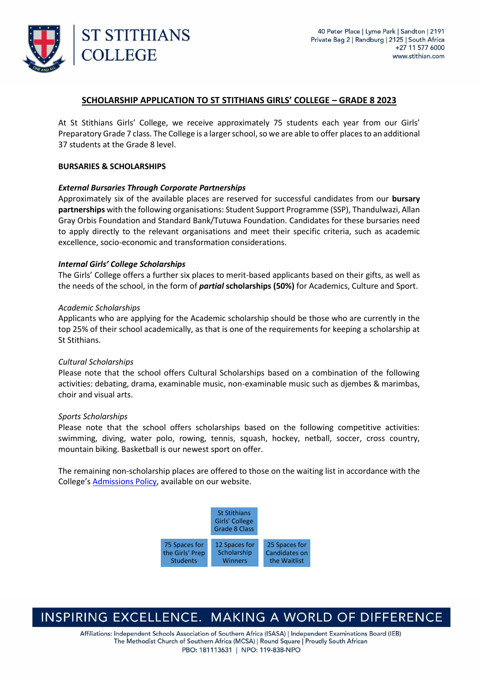

### **SCHOLARSHIP APPLICATION TO ST STITHIANS GIRLS' COLLEGE – GRADE 8 2023**

At St Stithians Girls' College, we receive approximately 75 students each year from our Girls' Preparatory Grade 7 class. The College is a larger school, so we are able to offer places to an additional 37 students at the Grade 8 level.

#### **BURSARIES & SCHOLARSHIPS**

#### *External Bursaries Through Corporate Partnerships*

Approximately six of the available places are reserved for successful candidates from our **bursary partnerships** with the following organisations: Student Support Programme (SSP), Thandulwazi, Allan Gray Orbis Foundation and Standard Bank/Tutuwa Foundation. Candidates for these bursaries need to apply directly to the relevant organisations and meet their specific criteria, such as academic excellence, socio-economic and transformation considerations.

#### *Internal Girls' College Scholarships*

The Girls' College offers a further six places to merit-based applicants based on their gifts, as well as the needs of the school, in the form of *partial* **scholarships (50%)** for Academics, Culture and Sport.

#### *Academic Scholarships*

Applicants who are applying for the Academic scholarship should be those who are currently in the top 25% of their school academically, as that is one of the requirements for keeping a scholarship at St Stithians.

#### *Cultural Scholarships*

Please note that the school offers Cultural Scholarships based on a combination of the following activities: debating, drama, examinable music, non-examinable music such as djembes & marimbas, choir and visual arts.

#### *Sports Scholarships*

Please note that the school offers scholarships based on the following competitive activities: swimming, diving, water polo, rowing, tennis, squash, hockey, netball, soccer, cross country, mountain biking. Basketball is our newest sport on offer.

The remaining non-scholarship places are offered to those on the waiting list in accordance with the College's [Admissions Policy,](https://www.stithian.com/uploads/files/Admissions_Policy_20150625_final.pdf) available on our website.



## INSPIRING EXCELLENCE. MAKING A WORLD OF DIFFERENCE

Affiliations: Independent Schools Association of Southern Africa (ISASA) | Independent Examinations Board (IEB) The Methodist Church of Southern Africa (MCSA) | Round Square | Proudly South African PBO: 181113631 | NPO: 119-838-NPO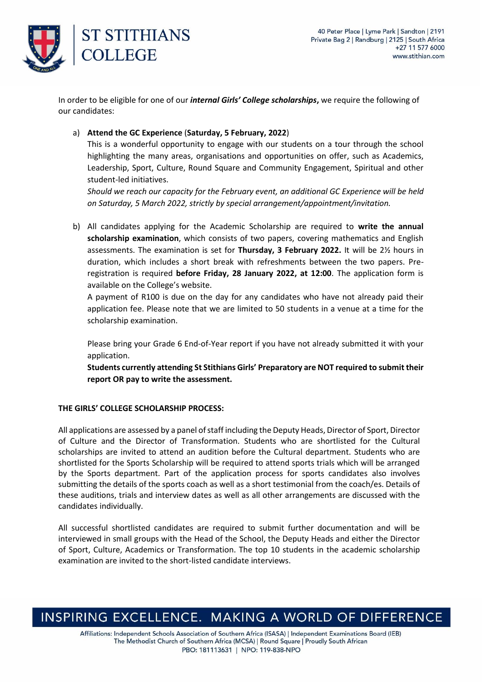

In order to be eligible for one of our *internal Girls' College scholarships***,** we require the following of our candidates:

a) **Attend the GC Experience** (**Saturday, 5 February, 2022**)

This is a wonderful opportunity to engage with our students on a tour through the school highlighting the many areas, organisations and opportunities on offer, such as Academics, Leadership, Sport, Culture, Round Square and Community Engagement, Spiritual and other student-led initiatives.

*Should we reach our capacity for the February event, an additional GC Experience will be held on Saturday, 5 March 2022, strictly by special arrangement/appointment/invitation.*

b) All candidates applying for the Academic Scholarship are required to **write the annual scholarship examination**, which consists of two papers, covering mathematics and English assessments. The examination is set for **Thursday, 3 February 2022.** It will be 2½ hours in duration, which includes a short break with refreshments between the two papers. Preregistration is required **before Friday, 28 January 2022, at 12:00**. The application form is available on the College's website.

A payment of R100 is due on the day for any candidates who have not already paid their application fee. Please note that we are limited to 50 students in a venue at a time for the scholarship examination.

Please bring your Grade 6 End-of-Year report if you have not already submitted it with your application.

**Students currently attending St Stithians Girls' Preparatory are NOT required to submit their report OR pay to write the assessment.**

### **THE GIRLS' COLLEGE SCHOLARSHIP PROCESS:**

All applications are assessed by a panel of staff including the Deputy Heads, Director of Sport, Director of Culture and the Director of Transformation. Students who are shortlisted for the Cultural scholarships are invited to attend an audition before the Cultural department. Students who are shortlisted for the Sports Scholarship will be required to attend sports trials which will be arranged by the Sports department. Part of the application process for sports candidates also involves submitting the details of the sports coach as well as a short testimonial from the coach/es. Details of these auditions, trials and interview dates as well as all other arrangements are discussed with the candidates individually.

All successful shortlisted candidates are required to submit further documentation and will be interviewed in small groups with the Head of the School, the Deputy Heads and either the Director of Sport, Culture, Academics or Transformation. The top 10 students in the academic scholarship examination are invited to the short-listed candidate interviews.

# INSPIRING EXCELLENCE. MAKING A WORLD OF DIFFERENCE

Affiliations: Independent Schools Association of Southern Africa (ISASA) | Independent Examinations Board (IEB) The Methodist Church of Southern Africa (MCSA) | Round Square | Proudly South African PBO: 181113631 | NPO: 119-838-NPO